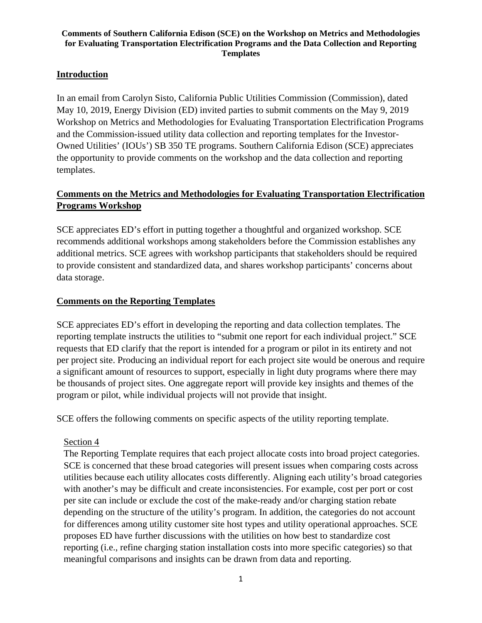#### **Comments of Southern California Edison (SCE) on the Workshop on Metrics and Methodologies for Evaluating Transportation Electrification Programs and the Data Collection and Reporting Templates**

## **Introduction**

In an email from Carolyn Sisto, California Public Utilities Commission (Commission), dated May 10, 2019, Energy Division (ED) invited parties to submit comments on the May 9, 2019 Workshop on Metrics and Methodologies for Evaluating Transportation Electrification Programs and the Commission-issued utility data collection and reporting templates for the Investor-Owned Utilities' (IOUs') SB 350 TE programs. Southern California Edison (SCE) appreciates the opportunity to provide comments on the workshop and the data collection and reporting templates.

# **Comments on the Metrics and Methodologies for Evaluating Transportation Electrification Programs Workshop**

SCE appreciates ED's effort in putting together a thoughtful and organized workshop. SCE recommends additional workshops among stakeholders before the Commission establishes any additional metrics. SCE agrees with workshop participants that stakeholders should be required to provide consistent and standardized data, and shares workshop participants' concerns about data storage.

### **Comments on the Reporting Templates**

SCE appreciates ED's effort in developing the reporting and data collection templates. The reporting template instructs the utilities to "submit one report for each individual project." SCE requests that ED clarify that the report is intended for a program or pilot in its entirety and not per project site. Producing an individual report for each project site would be onerous and require a significant amount of resources to support, especially in light duty programs where there may be thousands of project sites. One aggregate report will provide key insights and themes of the program or pilot, while individual projects will not provide that insight.

SCE offers the following comments on specific aspects of the utility reporting template.

### Section 4

The Reporting Template requires that each project allocate costs into broad project categories. SCE is concerned that these broad categories will present issues when comparing costs across utilities because each utility allocates costs differently. Aligning each utility's broad categories with another's may be difficult and create inconsistencies. For example, cost per port or cost per site can include or exclude the cost of the make-ready and/or charging station rebate depending on the structure of the utility's program. In addition, the categories do not account for differences among utility customer site host types and utility operational approaches. SCE proposes ED have further discussions with the utilities on how best to standardize cost reporting (i.e., refine charging station installation costs into more specific categories) so that meaningful comparisons and insights can be drawn from data and reporting.